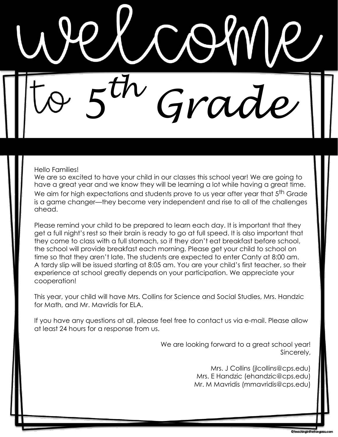*5 th Grade*

## Hello Families!

We are so excited to have your child in our classes this school year! We are going to have a great year and we know they will be learning a lot while having a great time. We aim for high expectations and students prove to us year after year that 5<sup>th</sup> Grade is a game changer—they become very independent and rise to all of the challenges ahead.

Please remind your child to be prepared to learn each day. It is important that they get a full night's rest so their brain is ready to go at full speed. It is also important that they come to class with a full stomach, so if they don't eat breakfast before school, the school will provide breakfast each morning. Please get your child to school on time so that they aren't late. The students are expected to enter Canty at 8:00 am. A tardy slip will be issued starting at 8:05 am. You are your child's first teacher, so their experience at school greatly depends on your participation. We appreciate your cooperation!

This year, your child will have Mrs. Collins for Science and Social Studies, Mrs. Handzic for Math, and Mr. Mavridis for ELA.

If you have any questions at all, please feel free to contact us via e-mail. Please allow at least 24 hours for a response from us.

> We are looking forward to a great school year! Sincerely,

> > Mrs. J Collins (jlcollins@cps.edu) Mrs. E Handzic (ehandzic@cps.edu) Mr. M Mavridis (mmavridis@cps.edu)